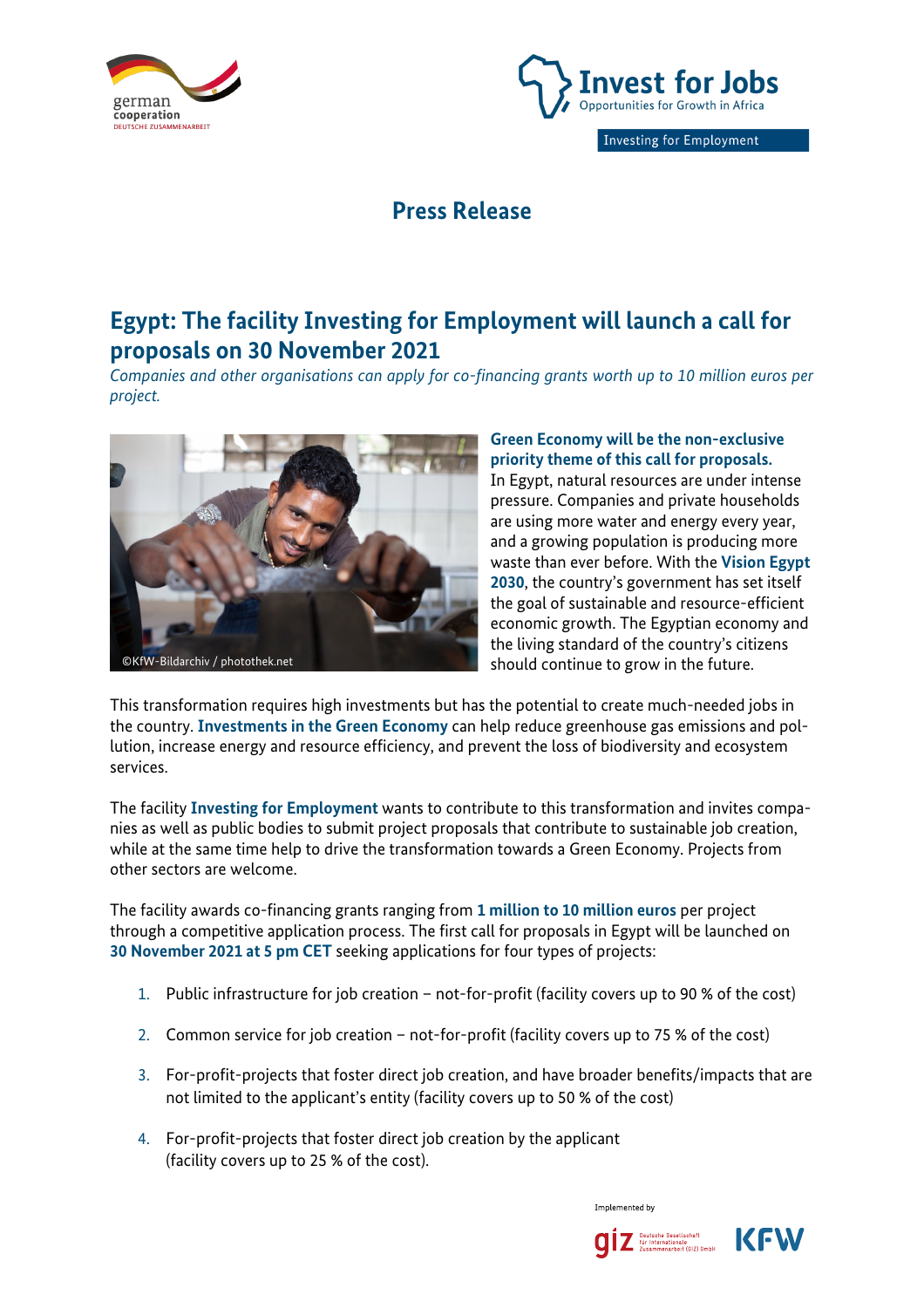



**Investing for Employment** 

# **Press Release**

# **Egypt: The facility Investing for Employment will launch a call for proposals on 30 November 2021**

*Companies and other organisations can apply for co-financing grants worth up to 10 million euros per project.*



### **Green Economy will be the non-exclusive priority theme of this call for proposals.**  In Egypt, natural resources are under intense pressure. Companies and private households are using more water and energy every year, and a growing population is producing more waste than ever before. With the **Vision Egypt 2030**, the country's government has set itself the goal of sustainable and resource-efficient economic growth. The Egyptian economy and the living standard of the country's citizens should continue to grow in the future.

This transformation requires high investments but has the potential to create much-needed jobs in the country. **Investments in the Green Economy** can help reduce greenhouse gas emissions and pollution, increase energy and resource efficiency, and prevent the loss of biodiversity and ecosystem services.

The facility **Investing for Employment** wants to contribute to this transformation and invites companies as well as public bodies to submit project proposals that contribute to sustainable job creation, while at the same time help to drive the transformation towards a Green Economy. Projects from other sectors are welcome.

The facility awards co-financing grants ranging from **1 million to 10 million euros** per project through a competitive application process. The first call for proposals in Egypt will be launched on **30 November 2021 at 5 pm CET** seeking applications for four types of projects:

- 1. Public infrastructure for job creation not-for-profit (facility covers up to 90 % of the cost)
- 2. Common service for job creation not-for-profit (facility covers up to 75 % of the cost)
- 3. For-profit-projects that foster direct job creation, and have broader benefits/impacts that are not limited to the applicant's entity (facility covers up to 50 % of the cost)
- 4. For-profit-projects that foster direct job creation by the applicant (facility covers up to 25 % of the cost).

Implemented by

Deutsche Gesellschaft<br>Für Internationale<br>Zusammenarbeit (GIZ) GmbH